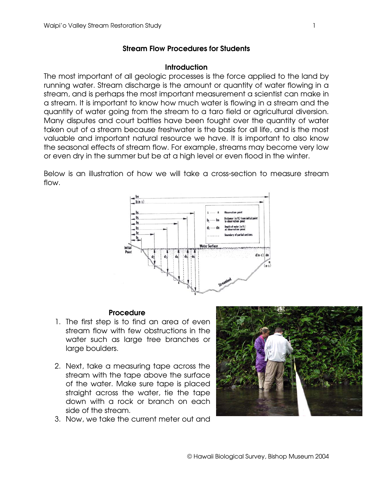## **Stream Flow Procedures for Students**

## **Introduction**

The most important of all geologic processes is the force applied to the land by running water. Stream discharge is the amount or quantity of water flowing in a stream, and is perhaps the most important measurement a scientist can make in a stream. It is important to know how much water is flowing in a stream and the quantity of water going from the stream to a taro field or agricultural diversion. Many disputes and court battles have been fought over the quantity of water taken out of a stream because freshwater is the basis for all life, and is the most valuable and important natural resource we have. It is important to also know the seasonal effects of stream flow. For example, streams may become very low or even dry in the summer but be at a high level or even flood in the winter.

Below is an illustration of how we will take a cross-section to measure stream flow.



## **Procedure**

- 1. The first step is to find an area of even stream flow with few obstructions in the water such as large tree branches or large boulders.
- 2. Next, take a measuring tape across the stream with the tape above the surface of the water. Make sure tape is placed straight across the water, tie the tape down with a rock or branch on each side of the stream.
- 
- 3. Now, we take the current meter out and